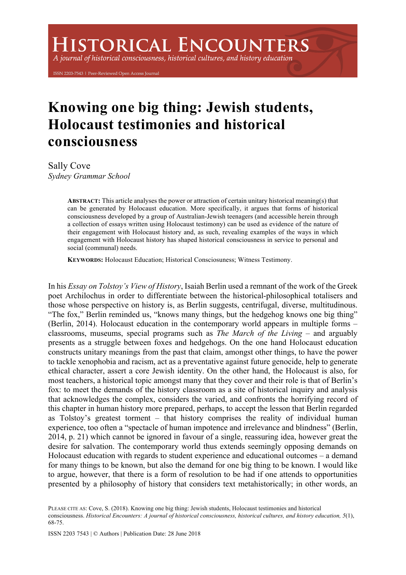## **ISTORICAL ENCOUNTERS**

A journal of historical consciousness, historical cultures, and history education

ISSN 2203-7543 | Peer-Reviewed Open Access Journal

## **Knowing one big thing: Jewish students, Holocaust testimonies and historical consciousness**

Sally Cove *Sydney Grammar School*

> **ABSTRACT:** This article analyses the power or attraction of certain unitary historical meaning(s) that can be generated by Holocaust education. More specifically, it argues that forms of historical consciousness developed by a group of Australian-Jewish teenagers (and accessible herein through a collection of essays written using Holocaust testimony) can be used as evidence of the nature of their engagement with Holocaust history and, as such, revealing examples of the ways in which engagement with Holocaust history has shaped historical consciousness in service to personal and social (communal) needs.

**KEYWORDS:** Holocaust Education; Historical Consciosuness; Witness Testimony.

In his *Essay on Tolstoy's View of History*, Isaiah Berlin used a remnant of the work of the Greek poet Archilochus in order to differentiate between the historical-philosophical totalisers and those whose perspective on history is, as Berlin suggests, centrifugal, diverse, multitudinous. "The fox," Berlin reminded us, "knows many things, but the hedgehog knows one big thing" (Berlin, 2014). Holocaust education in the contemporary world appears in multiple forms – classrooms, museums, special programs such as *The March of the Living* – and arguably presents as a struggle between foxes and hedgehogs. On the one hand Holocaust education constructs unitary meanings from the past that claim, amongst other things, to have the power to tackle xenophobia and racism, act as a preventative against future genocide, help to generate ethical character, assert a core Jewish identity. On the other hand, the Holocaust is also, for most teachers, a historical topic amongst many that they cover and their role is that of Berlin's fox: to meet the demands of the history classroom as a site of historical inquiry and analysis that acknowledges the complex, considers the varied, and confronts the horrifying record of this chapter in human history more prepared, perhaps, to accept the lesson that Berlin regarded as Tolstoy's greatest torment – that history comprises the reality of individual human experience, too often a "spectacle of human impotence and irrelevance and blindness" (Berlin, 2014, p. 21) which cannot be ignored in favour of a single, reassuring idea, however great the desire for salvation. The contemporary world thus extends seemingly opposing demands on Holocaust education with regards to student experience and educational outcomes – a demand for many things to be known, but also the demand for one big thing to be known. I would like to argue, however, that there is a form of resolution to be had if one attends to opportunities presented by a philosophy of history that considers text metahistorically; in other words, an

PLEASE CITE AS: Cove, S. (2018). Knowing one big thing: Jewish students, Holocaust testimonies and historical consciousness. *Historical Encounters: A journal of historical consciousness, historical cultures, and history education, 5*(1), 68-75.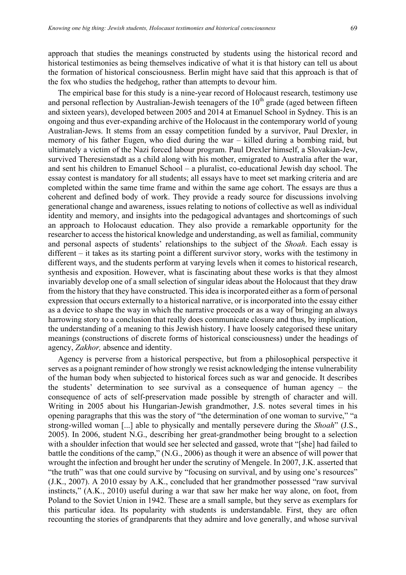approach that studies the meanings constructed by students using the historical record and historical testimonies as being themselves indicative of what it is that history can tell us about the formation of historical consciousness. Berlin might have said that this approach is that of the fox who studies the hedgehog, rather than attempts to devour him.

The empirical base for this study is a nine-year record of Holocaust research, testimony use and personal reflection by Australian-Jewish teenagers of the  $10<sup>th</sup>$  grade (aged between fifteen and sixteen years), developed between 2005 and 2014 at Emanuel School in Sydney. This is an ongoing and thus ever-expanding archive of the Holocaust in the contemporary world of young Australian-Jews. It stems from an essay competition funded by a survivor, Paul Drexler, in memory of his father Eugen, who died during the war – killed during a bombing raid, but ultimately a victim of the Nazi forced labour program. Paul Drexler himself, a Slovakian-Jew, survived Theresienstadt as a child along with his mother, emigrated to Australia after the war, and sent his children to Emanuel School – a pluralist, co-educational Jewish day school. The essay contest is mandatory for all students; all essays have to meet set marking criteria and are completed within the same time frame and within the same age cohort. The essays are thus a coherent and defined body of work. They provide a ready source for discussions involving generational change and awareness, issues relating to notions of collective as well as individual identity and memory, and insights into the pedagogical advantages and shortcomings of such an approach to Holocaust education. They also provide a remarkable opportunity for the researcher to access the historical knowledge and understanding, as well as familial, community and personal aspects of students' relationships to the subject of the *Shoah*. Each essay is different – it takes as its starting point a different survivor story, works with the testimony in different ways, and the students perform at varying levels when it comes to historical research, synthesis and exposition. However, what is fascinating about these works is that they almost invariably develop one of a small selection of singular ideas about the Holocaust that they draw from the history that they have constructed. This idea is incorporated either as a form of personal expression that occurs externally to a historical narrative, or is incorporated into the essay either as a device to shape the way in which the narrative proceeds or as a way of bringing an always harrowing story to a conclusion that really does communicate closure and thus, by implication, the understanding of a meaning to this Jewish history. I have loosely categorised these unitary meanings (constructions of discrete forms of historical consciousness) under the headings of agency, *Zakhor,* absence and identity.

Agency is perverse from a historical perspective, but from a philosophical perspective it serves as a poignant reminder of how strongly we resist acknowledging the intense vulnerability of the human body when subjected to historical forces such as war and genocide. It describes the students' determination to see survival as a consequence of human agency – the consequence of acts of self-preservation made possible by strength of character and will. Writing in 2005 about his Hungarian-Jewish grandmother, J.S. notes several times in his opening paragraphs that this was the story of "the determination of one woman to survive," "a strong-willed woman [...] able to physically and mentally persevere during the *Shoah*" (J.S., 2005). In 2006, student N.G., describing her great-grandmother being brought to a selection with a shoulder infection that would see her selected and gassed, wrote that "[she] had failed to battle the conditions of the camp," (N.G., 2006) as though it were an absence of will power that wrought the infection and brought her under the scrutiny of Mengele. In 2007, J.K. asserted that "the truth" was that one could survive by "focusing on survival, and by using one's resources" (J.K., 2007). A 2010 essay by A.K., concluded that her grandmother possessed "raw survival instincts," (A.K., 2010) useful during a war that saw her make her way alone, on foot, from Poland to the Soviet Union in 1942. These are a small sample, but they serve as exemplars for this particular idea. Its popularity with students is understandable. First, they are often recounting the stories of grandparents that they admire and love generally, and whose survival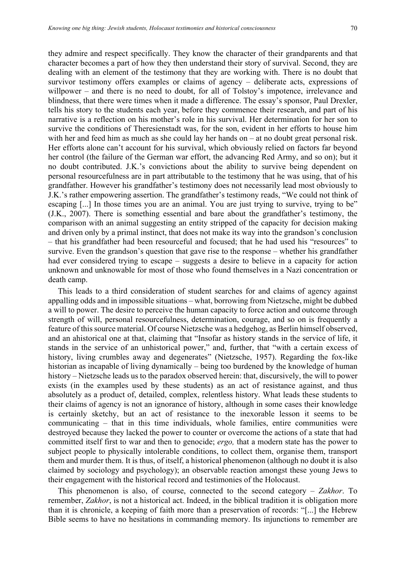they admire and respect specifically. They know the character of their grandparents and that character becomes a part of how they then understand their story of survival. Second, they are dealing with an element of the testimony that they are working with. There is no doubt that survivor testimony offers examples or claims of agency – deliberate acts, expressions of willpower – and there is no need to doubt, for all of Tolstoy's impotence, irrelevance and blindness, that there were times when it made a difference. The essay's sponsor, Paul Drexler, tells his story to the students each year, before they commence their research, and part of his narrative is a reflection on his mother's role in his survival. Her determination for her son to survive the conditions of Theresienstadt was, for the son, evident in her efforts to house him with her and feed him as much as she could lay her hands on – at no doubt great personal risk. Her efforts alone can't account for his survival, which obviously relied on factors far beyond her control (the failure of the German war effort, the advancing Red Army, and so on); but it no doubt contributed. J.K.'s convictions about the ability to survive being dependent on personal resourcefulness are in part attributable to the testimony that he was using, that of his grandfather. However his grandfather's testimony does not necessarily lead most obviously to J.K.'s rather empowering assertion. The grandfather's testimony reads, "We could not think of escaping [...] In those times you are an animal. You are just trying to survive, trying to be" (J.K., 2007). There is something essential and bare about the grandfather's testimony, the comparison with an animal suggesting an entity stripped of the capacity for decision making and driven only by a primal instinct, that does not make its way into the grandson's conclusion – that his grandfather had been resourceful and focused; that he had used his "resources" to survive. Even the grandson's question that gave rise to the response – whether his grandfather had ever considered trying to escape – suggests a desire to believe in a capacity for action unknown and unknowable for most of those who found themselves in a Nazi concentration or death camp.

This leads to a third consideration of student searches for and claims of agency against appalling odds and in impossible situations – what, borrowing from Nietzsche, might be dubbed a will to power. The desire to perceive the human capacity to force action and outcome through strength of will, personal resourcefulness, determination, courage, and so on is frequently a feature of this source material. Of course Nietzsche was a hedgehog, as Berlin himself observed, and an ahistorical one at that, claiming that "Insofar as history stands in the service of life, it stands in the service of an unhistorical power," and, further, that "with a certain excess of history, living crumbles away and degenerates" (Nietzsche, 1957). Regarding the fox-like historian as incapable of living dynamically – being too burdened by the knowledge of human history – Nietzsche leads us to the paradox observed herein: that, discursively, the will to power exists (in the examples used by these students) as an act of resistance against, and thus absolutely as a product of, detailed, complex, relentless history. What leads these students to their claims of agency is not an ignorance of history, although in some cases their knowledge is certainly sketchy, but an act of resistance to the inexorable lesson it seems to be communicating – that in this time individuals, whole families, entire communities were destroyed because they lacked the power to counter or overcome the actions of a state that had committed itself first to war and then to genocide; *ergo,* that a modern state has the power to subject people to physically intolerable conditions, to collect them, organise them, transport them and murder them. It is thus, of itself, a historical phenomenon (although no doubt it is also claimed by sociology and psychology); an observable reaction amongst these young Jews to their engagement with the historical record and testimonies of the Holocaust.

This phenomenon is also, of course, connected to the second category – *Zakhor*. To remember, *Zakhor*, is not a historical act. Indeed, in the biblical tradition it is obligation more than it is chronicle, a keeping of faith more than a preservation of records: "[...] the Hebrew Bible seems to have no hesitations in commanding memory. Its injunctions to remember are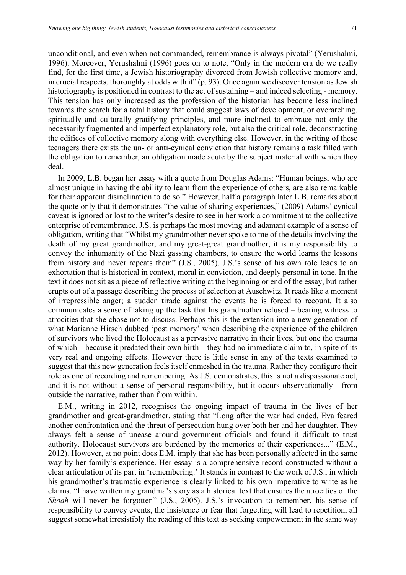unconditional, and even when not commanded, remembrance is always pivotal" (Yerushalmi, 1996). Moreover, Yerushalmi (1996) goes on to note, "Only in the modern era do we really find, for the first time, a Jewish historiography divorced from Jewish collective memory and, in crucial respects, thoroughly at odds with it" (p. 93). Once again we discover tension as Jewish historiography is positioned in contrast to the act of sustaining – and indeed selecting - memory. This tension has only increased as the profession of the historian has become less inclined towards the search for a total history that could suggest laws of development, or overarching, spiritually and culturally gratifying principles, and more inclined to embrace not only the necessarily fragmented and imperfect explanatory role, but also the critical role, deconstructing the edifices of collective memory along with everything else. However, in the writing of these teenagers there exists the un- or anti-cynical conviction that history remains a task filled with the obligation to remember, an obligation made acute by the subject material with which they deal.

In 2009, L.B. began her essay with a quote from Douglas Adams: "Human beings, who are almost unique in having the ability to learn from the experience of others, are also remarkable for their apparent disinclination to do so." However, half a paragraph later L.B. remarks about the quote only that it demonstrates "the value of sharing experiences," (2009) Adams' cynical caveat is ignored or lost to the writer's desire to see in her work a commitment to the collective enterprise of remembrance. J.S. is perhaps the most moving and adamant example of a sense of obligation, writing that "Whilst my grandmother never spoke to me of the details involving the death of my great grandmother, and my great-great grandmother, it is my responsibility to convey the inhumanity of the Nazi gassing chambers, to ensure the world learns the lessons from history and never repeats them" (J.S., 2005). J.S.'s sense of his own role leads to an exhortation that is historical in context, moral in conviction, and deeply personal in tone. In the text it does not sit as a piece of reflective writing at the beginning or end of the essay, but rather erupts out of a passage describing the process of selection at Auschwitz. It reads like a moment of irrepressible anger; a sudden tirade against the events he is forced to recount. It also communicates a sense of taking up the task that his grandmother refused – bearing witness to atrocities that she chose not to discuss. Perhaps this is the extension into a new generation of what Marianne Hirsch dubbed 'post memory' when describing the experience of the children of survivors who lived the Holocaust as a pervasive narrative in their lives, but one the trauma of which – because it predated their own birth – they had no immediate claim to, in spite of its very real and ongoing effects. However there is little sense in any of the texts examined to suggest that this new generation feels itself enmeshed in the trauma. Rather they configure their role as one of recording and remembering. As J.S. demonstrates, this is not a dispassionate act, and it is not without a sense of personal responsibility, but it occurs observationally - from outside the narrative, rather than from within.

E.M., writing in 2012, recognises the ongoing impact of trauma in the lives of her grandmother and great-grandmother, stating that "Long after the war had ended, Eva feared another confrontation and the threat of persecution hung over both her and her daughter. They always felt a sense of unease around government officials and found it difficult to trust authority. Holocaust survivors are burdened by the memories of their experiences..." (E.M., 2012). However, at no point does E.M. imply that she has been personally affected in the same way by her family's experience. Her essay is a comprehensive record constructed without a clear articulation of its part in 'remembering.' It stands in contrast to the work of J.S., in which his grandmother's traumatic experience is clearly linked to his own imperative to write as he claims, "I have written my grandma's story as a historical text that ensures the atrocities of the *Shoah* will never be forgotten" (J.S., 2005). J.S.'s invocation to remember, his sense of responsibility to convey events, the insistence or fear that forgetting will lead to repetition, all suggest somewhat irresistibly the reading of this text as seeking empowerment in the same way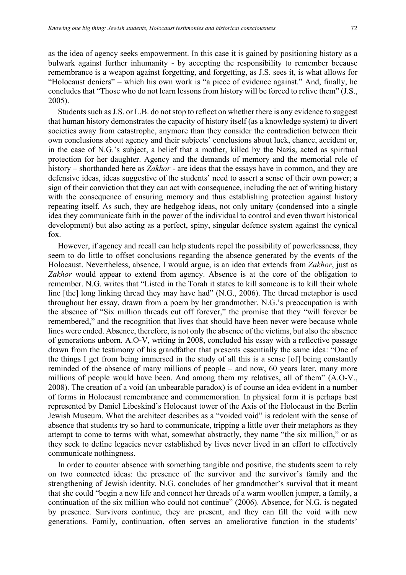as the idea of agency seeks empowerment. In this case it is gained by positioning history as a bulwark against further inhumanity - by accepting the responsibility to remember because remembrance is a weapon against forgetting, and forgetting, as J.S. sees it, is what allows for "Holocaust deniers" – which his own work is "a piece of evidence against." And, finally, he concludes that "Those who do not learn lessons from history will be forced to relive them" (J.S., 2005).

Students such as J.S. or L.B. do not stop to reflect on whether there is any evidence to suggest that human history demonstrates the capacity of history itself (as a knowledge system) to divert societies away from catastrophe, anymore than they consider the contradiction between their own conclusions about agency and their subjects' conclusions about luck, chance, accident or, in the case of N.G.'s subject, a belief that a mother, killed by the Nazis, acted as spiritual protection for her daughter. Agency and the demands of memory and the memorial role of history – shorthanded here as *Zakhor* - are ideas that the essays have in common, and they are defensive ideas, ideas suggestive of the students' need to assert a sense of their own power; a sign of their conviction that they can act with consequence, including the act of writing history with the consequence of ensuring memory and thus establishing protection against history repeating itself. As such, they are hedgehog ideas, not only unitary (condensed into a single idea they communicate faith in the power of the individual to control and even thwart historical development) but also acting as a perfect, spiny, singular defence system against the cynical fox.

However, if agency and recall can help students repel the possibility of powerlessness, they seem to do little to offset conclusions regarding the absence generated by the events of the Holocaust. Nevertheless, absence, I would argue, is an idea that extends from *Zakhor*, just as *Zakhor* would appear to extend from agency. Absence is at the core of the obligation to remember. N.G. writes that "Listed in the Torah it states to kill someone is to kill their whole line [the] long linking thread they may have had" (N.G., 2006). The thread metaphor is used throughout her essay, drawn from a poem by her grandmother. N.G.'s preoccupation is with the absence of "Six million threads cut off forever," the promise that they "will forever be remembered," and the recognition that lives that should have been never were because whole lines were ended. Absence, therefore, is not only the absence of the victims, but also the absence of generations unborn. A.O-V, writing in 2008, concluded his essay with a reflective passage drawn from the testimony of his grandfather that presents essentially the same idea: "One of the things I get from being immersed in the study of all this is a sense [of] being constantly reminded of the absence of many millions of people – and now, 60 years later, many more millions of people would have been. And among them my relatives, all of them" (A.O-V., 2008). The creation of a void (an unbearable paradox) is of course an idea evident in a number of forms in Holocaust remembrance and commemoration. In physical form it is perhaps best represented by Daniel Libeskind's Holocaust tower of the Axis of the Holocaust in the Berlin Jewish Museum. What the architect describes as a "voided void" is redolent with the sense of absence that students try so hard to communicate, tripping a little over their metaphors as they attempt to come to terms with what, somewhat abstractly, they name "the six million," or as they seek to define legacies never established by lives never lived in an effort to effectively communicate nothingness.

In order to counter absence with something tangible and positive, the students seem to rely on two connected ideas: the presence of the survivor and the survivor's family and the strengthening of Jewish identity. N.G. concludes of her grandmother's survival that it meant that she could "begin a new life and connect her threads of a warm woollen jumper, a family, a continuation of the six million who could not continue" (2006). Absence, for N.G. is negated by presence. Survivors continue, they are present, and they can fill the void with new generations. Family, continuation, often serves an ameliorative function in the students'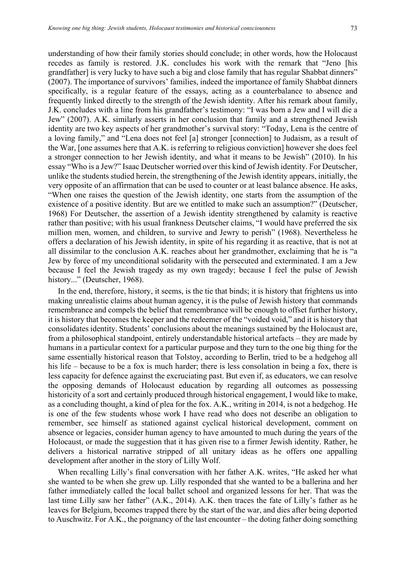understanding of how their family stories should conclude; in other words, how the Holocaust recedes as family is restored. J.K. concludes his work with the remark that "Jeno [his grandfather] is very lucky to have such a big and close family that has regular Shabbat dinners" (2007). The importance of survivors' families, indeed the importance of family Shabbat dinners specifically, is a regular feature of the essays, acting as a counterbalance to absence and frequently linked directly to the strength of the Jewish identity. After his remark about family, J.K. concludes with a line from his grandfather's testimony: "I was born a Jew and I will die a Jew" (2007). A.K. similarly asserts in her conclusion that family and a strengthened Jewish identity are two key aspects of her grandmother's survival story: "Today, Lena is the centre of a loving family," and "Lena does not feel [a] stronger [connection] to Judaism, as a result of the War, [one assumes here that A.K. is referring to religious conviction] however she does feel a stronger connection to her Jewish identity, and what it means to be Jewish" (2010). In his essay "Who is a Jew?" Isaac Deutscher worried over this kind of Jewish identity. For Deutscher, unlike the students studied herein, the strengthening of the Jewish identity appears, initially, the very opposite of an affirmation that can be used to counter or at least balance absence. He asks, "When one raises the question of the Jewish identity, one starts from the assumption of the existence of a positive identity. But are we entitled to make such an assumption?" (Deutscher, 1968) For Deutscher, the assertion of a Jewish identity strengthened by calamity is reactive rather than positive; with his usual frankness Deutscher claims, "I would have preferred the six million men, women, and children, to survive and Jewry to perish" (1968). Nevertheless he offers a declaration of his Jewish identity, in spite of his regarding it as reactive, that is not at all dissimilar to the conclusion A.K. reaches about her grandmother, exclaiming that he is "a Jew by force of my unconditional solidarity with the persecuted and exterminated. I am a Jew because I feel the Jewish tragedy as my own tragedy; because I feel the pulse of Jewish history..." (Deutscher, 1968).

In the end, therefore, history, it seems, is the tie that binds; it is history that frightens us into making unrealistic claims about human agency, it is the pulse of Jewish history that commands remembrance and compels the belief that remembrance will be enough to offset further history, it is history that becomes the keeper and the redeemer of the "voided void," and it is history that consolidates identity. Students' conclusions about the meanings sustained by the Holocaust are, from a philosophical standpoint, entirely understandable historical artefacts – they are made by humans in a particular context for a particular purpose and they turn to the one big thing for the same essentially historical reason that Tolstoy, according to Berlin, tried to be a hedgehog all his life – because to be a fox is much harder; there is less consolation in being a fox, there is less capacity for defence against the excruciating past. But even if, as educators, we can resolve the opposing demands of Holocaust education by regarding all outcomes as possessing historicity of a sort and certainly produced through historical engagement, I would like to make, as a concluding thought, a kind of plea for the fox. A.K., writing in 2014, is not a hedgehog. He is one of the few students whose work I have read who does not describe an obligation to remember, see himself as stationed against cyclical historical development, comment on absence or legacies, consider human agency to have amounted to much during the years of the Holocaust, or made the suggestion that it has given rise to a firmer Jewish identity. Rather, he delivers a historical narrative stripped of all unitary ideas as he offers one appalling development after another in the story of Lilly Wolf.

When recalling Lilly's final conversation with her father A.K. writes, "He asked her what she wanted to be when she grew up. Lilly responded that she wanted to be a ballerina and her father immediately called the local ballet school and organized lessons for her. That was the last time Lilly saw her father" (A.K., 2014). A.K. then traces the fate of Lilly's father as he leaves for Belgium, becomes trapped there by the start of the war, and dies after being deported to Auschwitz. For A.K., the poignancy of the last encounter – the doting father doing something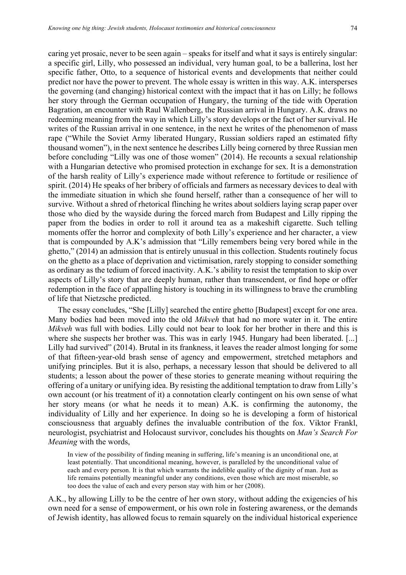caring yet prosaic, never to be seen again – speaks for itself and what it says is entirely singular: a specific girl, Lilly, who possessed an individual, very human goal, to be a ballerina, lost her specific father, Otto, to a sequence of historical events and developments that neither could predict nor have the power to prevent. The whole essay is written in this way. A.K. intersperses the governing (and changing) historical context with the impact that it has on Lilly; he follows her story through the German occupation of Hungary, the turning of the tide with Operation Bagration, an encounter with Raul Wallenberg, the Russian arrival in Hungary. A.K. draws no redeeming meaning from the way in which Lilly's story develops or the fact of her survival. He writes of the Russian arrival in one sentence, in the next he writes of the phenomenon of mass rape ("While the Soviet Army liberated Hungary, Russian soldiers raped an estimated fifty thousand women"), in the next sentence he describes Lilly being cornered by three Russian men before concluding "Lilly was one of those women" (2014). He recounts a sexual relationship with a Hungarian detective who promised protection in exchange for sex. It is a demonstration of the harsh reality of Lilly's experience made without reference to fortitude or resilience of spirit. (2014) He speaks of her bribery of officials and farmers as necessary devices to deal with the immediate situation in which she found herself, rather than a consequence of her will to survive. Without a shred of rhetorical flinching he writes about soldiers laying scrap paper over those who died by the wayside during the forced march from Budapest and Lilly ripping the paper from the bodies in order to roll it around tea as a makeshift cigarette. Such telling moments offer the horror and complexity of both Lilly's experience and her character, a view that is compounded by A.K's admission that "Lilly remembers being very bored while in the ghetto," (2014) an admission that is entirely unusual in this collection. Students routinely focus on the ghetto as a place of deprivation and victimisation, rarely stopping to consider something as ordinary as the tedium of forced inactivity. A.K.'s ability to resist the temptation to skip over aspects of Lilly's story that are deeply human, rather than transcendent, or find hope or offer redemption in the face of appalling history is touching in its willingness to brave the crumbling of life that Nietzsche predicted.

The essay concludes, "She [Lilly] searched the entire ghetto [Budapest] except for one area. Many bodies had been moved into the old *Mikveh* that had no more water in it. The entire *Mikveh* was full with bodies. Lilly could not bear to look for her brother in there and this is where she suspects her brother was. This was in early 1945. Hungary had been liberated. [...] Lilly had survived" (2014). Brutal in its frankness, it leaves the reader almost longing for some of that fifteen-year-old brash sense of agency and empowerment, stretched metaphors and unifying principles. But it is also, perhaps, a necessary lesson that should be delivered to all students; a lesson about the power of these stories to generate meaning without requiring the offering of a unitary or unifying idea. By resisting the additional temptation to draw from Lilly's own account (or his treatment of it) a connotation clearly contingent on his own sense of what her story means (or what he needs it to mean) A.K. is confirming the autonomy, the individuality of Lilly and her experience. In doing so he is developing a form of historical consciousness that arguably defines the invaluable contribution of the fox. Viktor Frankl, neurologist, psychiatrist and Holocaust survivor, concludes his thoughts on *Man's Search For Meaning* with the words,

In view of the possibility of finding meaning in suffering, life's meaning is an unconditional one, at least potentially. That unconditional meaning, however, is paralleled by the unconditional value of each and every person. It is that which warrants the indelible quality of the dignity of man. Just as life remains potentially meaningful under any conditions, even those which are most miserable, so too does the value of each and every person stay with him or her (2008).

A.K., by allowing Lilly to be the centre of her own story, without adding the exigencies of his own need for a sense of empowerment, or his own role in fostering awareness, or the demands of Jewish identity, has allowed focus to remain squarely on the individual historical experience